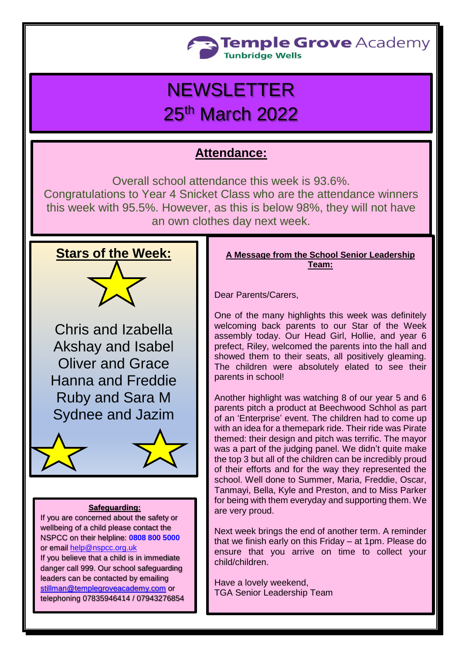

# **NEWSLETTER** 25th March 2022

## **Attendance:**

Overall school attendance this week is 93.6%.

Congratulations to Year 4 Snicket Class who are the attendance winners this week with 95.5%. However, as this is below 98%, they will not have an own clothes day next week.



Chris and Izabella Akshay and Isabel Oliver and Grace Hanna and Freddie Ruby and Sara M Sydnee and Jazim



#### **Safeguarding:**

If you are concerned about the safety or wellbeing of a child please contact the NSPCC on their helpline: **[0808 800 5000](tel:08088005000)** or email [help@nspcc.org.uk](mailto:help@nspcc.org.uk)

If you believe that a child is in immediate danger call 999. Our school safeguarding leaders can be contacted by emailing [stillman@templegroveacademy.com](mailto:stillman@templegroveacademy.com) or telephoning 07835946414 / 07943276854

#### **A Message from the School Senior Leadership Team:**

Dear Parents/Carers,

One of the many highlights this week was definitely welcoming back parents to our Star of the Week assembly today. Our Head Girl, Hollie, and year 6 prefect, Riley, welcomed the parents into the hall and showed them to their seats, all positively gleaming. The children were absolutely elated to see their parents in school!

Another highlight was watching 8 of our year 5 and 6 parents pitch a product at Beechwood Schhol as part of an 'Enterprise' event. The children had to come up with an idea for a themepark ride. Their ride was Pirate themed: their design and pitch was terrific. The mayor was a part of the judging panel. We didn't quite make the top 3 but all of the children can be incredibly proud of their efforts and for the way they represented the school. Well done to Summer, Maria, Freddie, Oscar, Tanmayi, Bella, Kyle and Preston, and to Miss Parker for being with them everyday and supporting them. We are very proud.

Next week brings the end of another term. A reminder that we finish early on this Friday – at 1pm. Please do ensure that you arrive on time to collect your child/children.

Have a lovely weekend, TGA Senior Leadership Team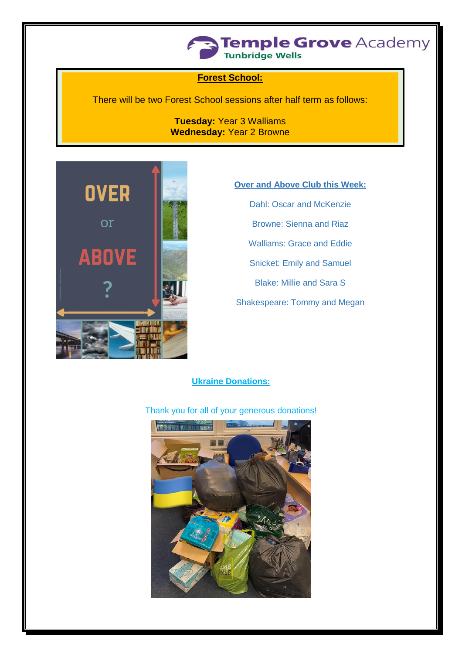

#### **Forest School:**

There will be two Forest School sessions after half term as follows:

**Tuesday:** Year 3 Walliams **Wednesday:** Year 2 Browne



### **Over and Above Club this Week:**

Dahl: Oscar and McKenzie Browne: Sienna and Riaz Walliams: Grace and Eddie Snicket: Emily and Samuel Blake: Millie and Sara S Shakespeare: Tommy and Megan

#### **Ukraine Donations:**

#### Thank you for all of your generous donations!

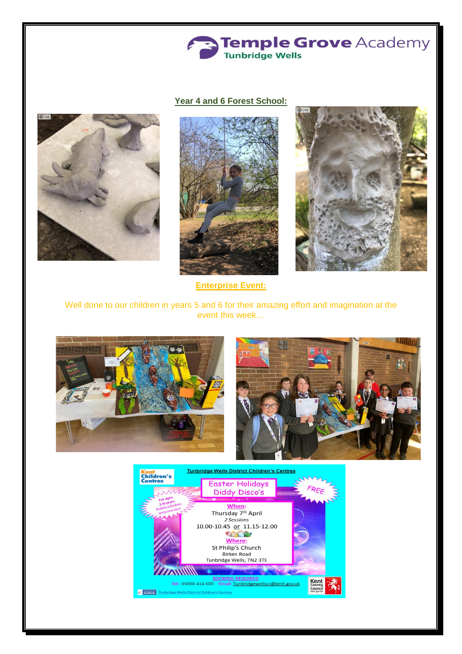

#### **Year 4 and 6 Forest School:**





**Enterprise Event:**

Well done to our children in years 5 and 6 for their amazing effort and imagination at the event this week…